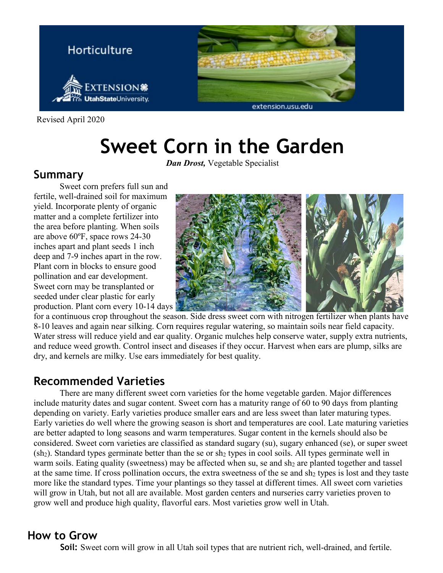

Revised April 2020

# **Sweet Corn in the Garden**

*Dan Drost,* Vegetable Specialist

# **Summary**

Sweet corn prefers full sun and fertile, well-drained soil for maximum yield. Incorporate plenty of organic matter and a complete fertilizer into the area before planting. When soils are above 60ºF, space rows 24-30 inches apart and plant seeds 1 inch deep and 7-9 inches apart in the row. Plant corn in blocks to ensure good pollination and ear development. Sweet corn may be transplanted or seeded under clear plastic for early production. Plant corn every 10-14 days



for a continuous crop throughout the season. Side dress sweet corn with nitrogen fertilizer when plants have 8-10 leaves and again near silking. Corn requires regular watering, so maintain soils near field capacity. Water stress will reduce yield and ear quality. Organic mulches help conserve water, supply extra nutrients, and reduce weed growth. Control insect and diseases if they occur. Harvest when ears are plump, silks are dry, and kernels are milky. Use ears immediately for best quality.

# **Recommended Varieties**

There are many different sweet corn varieties for the home vegetable garden. Major differences include maturity dates and sugar content. Sweet corn has a maturity range of 60 to 90 days from planting depending on variety. Early varieties produce smaller ears and are less sweet than later maturing types. Early varieties do well where the growing season is short and temperatures are cool. Late maturing varieties are better adapted to long seasons and warm temperatures. Sugar content in the kernels should also be considered. Sweet corn varieties are classified as standard sugary (su), sugary enhanced (se), or super sweet  $(\text{sh}_2)$ . Standard types germinate better than the se or sh<sub>2</sub> types in cool soils. All types germinate well in warm soils. Eating quality (sweetness) may be affected when su, se and sh<sub>2</sub> are planted together and tassel at the same time. If cross pollination occurs, the extra sweetness of the se and sh<sub>2</sub> types is lost and they taste more like the standard types. Time your plantings so they tassel at different times. All sweet corn varieties will grow in Utah, but not all are available. Most garden centers and nurseries carry varieties proven to grow well and produce high quality, flavorful ears. Most varieties grow well in Utah.

# **How to Grow**

**Soil:** Sweet corn will grow in all Utah soil types that are nutrient rich, well-drained, and fertile.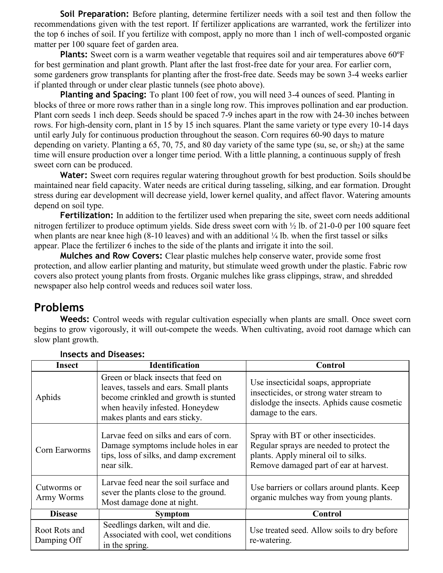**Soil Preparation:** Before planting, determine fertilizer needs with a soil test and then follow the recommendations given with the test report. If fertilizer applications are warranted, work the fertilizer into the top 6 inches of soil. If you fertilize with compost, apply no more than 1 inch of well-composted organic matter per 100 square feet of garden area.

**Plants:** Sweet corn is a warm weather vegetable that requires soil and air temperatures above 60°F for best germination and plant growth. Plant after the last frost-free date for your area. For earlier corn, some gardeners grow transplants for planting after the frost-free date. Seeds may be sown 3-4 weeks earlier if planted through or under clear plastic tunnels (see photo above).

**Planting and Spacing:** To plant 100 feet of row, you will need 3-4 ounces of seed. Planting in blocks of three or more rows rather than in a single long row. This improves pollination and ear production. Plant corn seeds 1 inch deep. Seeds should be spaced 7-9 inches apart in the row with 24-30 inches between rows. For high-density corn, plant in 15 by 15 inch squares. Plant the same variety or type every 10-14 days until early July for continuous production throughout the season. Corn requires 60-90 days to mature depending on variety. Planting a  $65$ ,  $70$ ,  $75$ , and  $80$  day variety of the same type (su, se, or sh<sub>2</sub>) at the same time will ensure production over a longer time period. With a little planning, a continuous supply of fresh sweet corn can be produced.

Water: Sweet corn requires regular watering throughout growth for best production. Soils should be maintained near field capacity. Water needs are critical during tasseling, silking, and ear formation. Drought stress during ear development will decrease yield, lower kernel quality, and affect flavor. Watering amounts depend on soil type.

**Fertilization:** In addition to the fertilizer used when preparing the site, sweet corn needs additional nitrogen fertilizer to produce optimum yields. Side dress sweet corn with ½ lb. of 21-0-0 per 100 square feet when plants are near knee high (8-10 leaves) and with an additional  $\frac{1}{4}$  lb. when the first tassel or silks appear. Place the fertilizer 6 inches to the side of the plants and irrigate it into the soil.

**Mulches and Row Covers:** Clear plastic mulches help conserve water, provide some frost protection, and allow earlier planting and maturity, but stimulate weed growth under the plastic. Fabric row covers also protect young plants from frosts. Organic mulches like grass clippings, straw, and shredded newspaper also help control weeds and reduces soil water loss.

# **Problems**

**Weeds:** Control weeds with regular cultivation especially when plants are small. Once sweet corn begins to grow vigorously, it will out-compete the weeds. When cultivating, avoid root damage which can slow plant growth.

| Insect                       | <b>Identification</b>                                                                                                                                                                      | Control                                                                                                                                                           |
|------------------------------|--------------------------------------------------------------------------------------------------------------------------------------------------------------------------------------------|-------------------------------------------------------------------------------------------------------------------------------------------------------------------|
| Aphids                       | Green or black insects that feed on<br>leaves, tassels and ears. Small plants<br>become crinkled and growth is stunted<br>when heavily infested. Honeydew<br>makes plants and ears sticky. | Use insecticidal soaps, appropriate<br>insecticides, or strong water stream to<br>dislodge the insects. Aphids cause cosmetic<br>damage to the ears.              |
| Corn Earworms                | Larvae feed on silks and ears of corn.<br>Damage symptoms include holes in ear<br>tips, loss of silks, and damp excrement<br>near silk.                                                    | Spray with BT or other insecticides.<br>Regular sprays are needed to protect the<br>plants. Apply mineral oil to silks.<br>Remove damaged part of ear at harvest. |
| Cutworms or<br>Army Worms    | Larvae feed near the soil surface and<br>sever the plants close to the ground.<br>Most damage done at night.                                                                               | Use barriers or collars around plants. Keep<br>organic mulches way from young plants.                                                                             |
| <b>Disease</b>               | <b>Symptom</b>                                                                                                                                                                             | <b>Control</b>                                                                                                                                                    |
| Root Rots and<br>Damping Off | Seedlings darken, wilt and die.<br>Associated with cool, wet conditions<br>in the spring.                                                                                                  | Use treated seed. Allow soils to dry before<br>re-watering.                                                                                                       |

### **Insects and Diseases:**